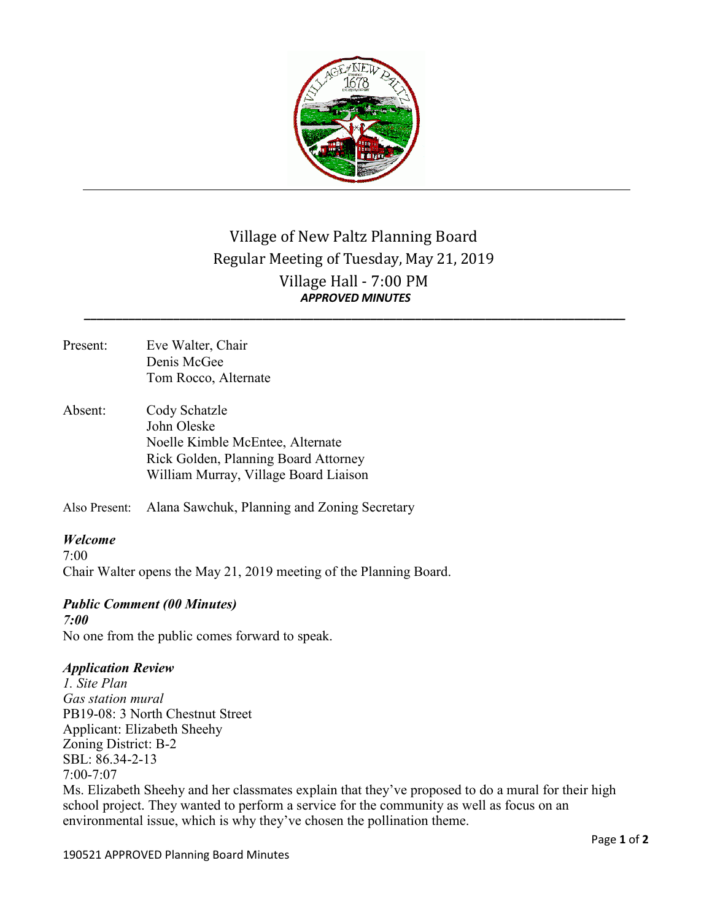

# Village of New Paltz Planning Board Regular Meeting of Tuesday, May 21, 2019 Village Hall - 7:00 PM *APPROVED MINUTES \_\_\_\_\_\_\_\_\_\_\_\_\_\_\_\_\_\_\_\_\_\_\_\_\_\_\_\_\_\_\_\_\_\_\_\_\_\_\_\_\_\_\_\_\_\_\_\_\_\_\_\_\_\_\_\_\_\_\_\_\_\_\_\_\_\_\_\_\_\_\_\_\_\_\_\_\_\_\_\_\_\_\_\_\_*

- Present: Eve Walter, Chair Denis McGee Tom Rocco, Alternate
- Absent: Cody Schatzle John Oleske Noelle Kimble McEntee, Alternate Rick Golden, Planning Board Attorney William Murray, Village Board Liaison

Also Present: Alana Sawchuk, Planning and Zoning Secretary

### *Welcome*

 $7.00$ Chair Walter opens the May 21, 2019 meeting of the Planning Board.

## *Public Comment (00 Minutes)*

*7:00* No one from the public comes forward to speak.

### *Application Review*

*1. Site Plan Gas station mural* PB19-08: 3 North Chestnut Street Applicant: Elizabeth Sheehy Zoning District: B-2 SBL: 86.34-2-13 7:00-7:07 Ms. Elizabeth Sheehy and her classmates explain that they've proposed to do a mural for their high school project. They wanted to perform a service for the community as well as focus on an environmental issue, which is why they've chosen the pollination theme.